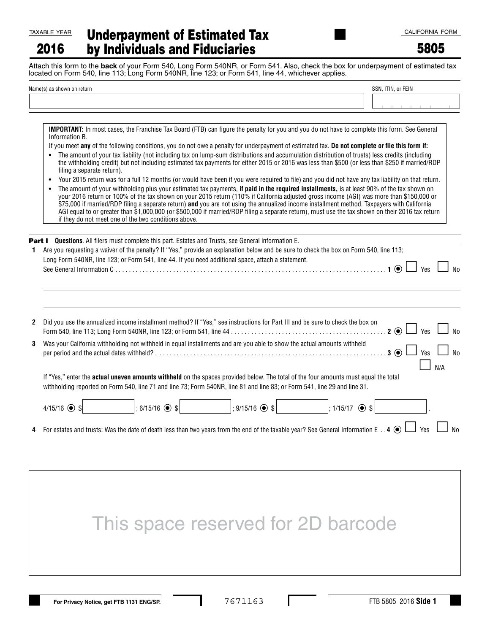2016

| <u>/EAR</u> | <b>Underpayment of Estimated Tax</b> |
|-------------|--------------------------------------|
| 6           | by Individuals and Fiduciaries       |

5805

Attach this form to the **back** of your Form 540, Long Form 540NR, or Form 541. Also, check the box for underpayment of estimated tax located on Form 540, line 113; Long Form 540NR, line 123; or Form 541, line 44, whichever applies.

| Name(s) as shown on return | SSN, ITIN, or FEIN |  |  |
|----------------------------|--------------------|--|--|
|                            |                    |  |  |

**IMPORTANT:** In most cases, the Franchise Tax Board (FTB) can figure the penalty for you and you do not have to complete this form. See General Information B.

- If you meet **any** of the following conditions, you do not owe a penalty for underpayment of estimated tax. **Do not complete or file this form if:**
- **•** The amount of your tax liability (not including tax on lump-sum distributions and accumulation distribution of trusts) less credits (including the withholding credit) but not including estimated tax payments for either 2015 or 2016 was less than \$500 (or less than \$250 if married/RDP filing a separate return).
- **•** Your 2015 return was for a full 12 months (or would have been if you were required to file) and you did not have any tax liability on that return.

| The amount of your withholding plus your estimated tax payments, if paid in the required installments, is at least 90% of the tax shown on         |
|----------------------------------------------------------------------------------------------------------------------------------------------------|
| your 2016 return or 100% of the tax shown on your 2015 return (110% if California adjusted gross income (AGI) was more than \$150,000 or           |
| \$75,000 if married/RDP filing a separate return) <b>and</b> you are not using the annualized income installment method. Taxpayers with California |
| AGI equal to or greater than \$1,000,000 (or \$500,000 if married/RDP filing a separate return), must use the tax shown on their 2016 tax return   |
| if they do not meet one of the two conditions above.                                                                                               |
|                                                                                                                                                    |

| <b>Part I</b> Questions. All filers must complete this part. Estates and Trusts, see General information E.                            |  |
|----------------------------------------------------------------------------------------------------------------------------------------|--|
| Are you requesting a waiver of the penalty? If "Yes," provide an explanation below and be sure to check the box on Form 540, line 113; |  |
| Long Form 540NR, line 123; or Form 541, line 44. If you need additional space, attach a statement.                                     |  |

| 2 Did you use the annualized income installment method? If "Yes," see instructions for Part III and be sure to check the box on<br>$2 \odot$<br>$\frac{1}{2}$ Yes $\frac{1}{2}$                                                                                                | $\Box$ No |  |  |  |  |  |
|--------------------------------------------------------------------------------------------------------------------------------------------------------------------------------------------------------------------------------------------------------------------------------|-----------|--|--|--|--|--|
| 3 Was your California withholding not withheld in equal installments and are you able to show the actual amounts withheld<br>$\Box$ No<br>$3^\circ$<br>Yes                                                                                                                     |           |  |  |  |  |  |
| N/A<br>If "Yes," enter the <b>actual uneven amounts withheld</b> on the spaces provided below. The total of the four amounts must equal the total<br>withholding reported on Form 540, line 71 and line 73; Form 540NR, line 81 and line 83; or Form 541, line 29 and line 31. |           |  |  |  |  |  |
| $: 6/15/16$ $\odot$ \$<br>$: 9/15/16$ $\odot$ \$<br>$4/15/16$ $\odot$ \$<br>$: 1/15/17$ $\odot$ \$                                                                                                                                                                             |           |  |  |  |  |  |
| 4. For estates and trusts: Was the date of death less than two years from the end of the taxable year? See General Information E 4 $\odot$<br>Yes                                                                                                                              |           |  |  |  |  |  |

## This space reserved for 2D barcode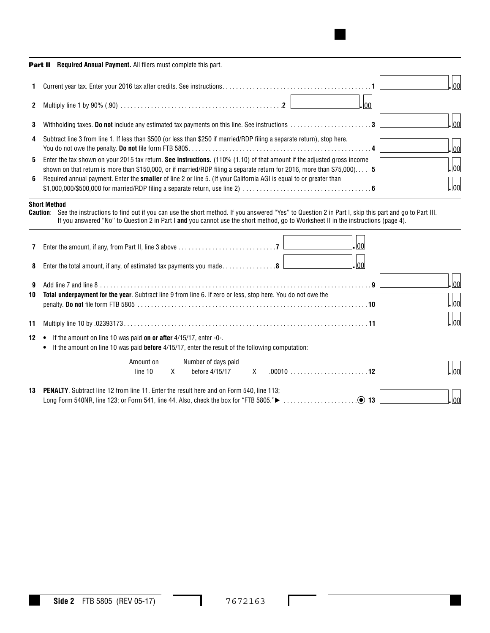| 1. | 00                                                                                                                                                                                                                                                           |
|----|--------------------------------------------------------------------------------------------------------------------------------------------------------------------------------------------------------------------------------------------------------------|
| 2  | 100                                                                                                                                                                                                                                                          |
| 3. | 00 <br>Withholding taxes. Do not include any estimated tax payments on this line. See instructions 3                                                                                                                                                         |
| 4  | Subtract line 3 from line 1. If less than \$500 (or less than \$250 if married/RDP filing a separate return), stop here.<br> 00                                                                                                                              |
| 5. | Enter the tax shown on your 2015 tax return. See instructions. $(110\% (1.10)$ of that amount if the adjusted gross income<br> 00 <br>shown on that return is more than \$150,000, or if married/RDP filing a separate return for 2016, more than \$75,000 5 |
| 6. | Required annual payment. Enter the <b>smaller</b> of line 2 or line 5. (If your California AGI is equal to or greater than<br>100                                                                                                                            |

|              |                                                                                                                                                                              |                      |    |                                       | If you answered "No" to Question 2 in Part I and you cannot use the short method, go to Worksheet II in the instructions (page 4). |       |                       |
|--------------|------------------------------------------------------------------------------------------------------------------------------------------------------------------------------|----------------------|----|---------------------------------------|------------------------------------------------------------------------------------------------------------------------------------|-------|-----------------------|
| 7            |                                                                                                                                                                              |                      |    |                                       |                                                                                                                                    | .100  |                       |
| 8            | Enter the total amount, if any, of estimated tax payments you made8                                                                                                          |                      |    |                                       |                                                                                                                                    | 00ا ـ |                       |
| 9<br>10      | Total underpayment for the year. Subtract line 9 from line 6. If zero or less, stop here. You do not owe the                                                                 |                      |    |                                       |                                                                                                                                    |       | .lool<br>$\vert_{00}$ |
| 11           |                                                                                                                                                                              |                      |    |                                       |                                                                                                                                    |       | $\vert_{00}\vert$     |
| $12 \bullet$ | If the amount on line 10 was paid on or after 4/15/17, enter -0-.<br>If the amount on line 10 was paid <b>before</b> 4/15/17, enter the result of the following computation: |                      |    |                                       |                                                                                                                                    |       |                       |
|              |                                                                                                                                                                              | Amount on<br>line 10 | X. | Number of days paid<br>before 4/15/17 | $X = .00010 \ldots \ldots \ldots \ldots \ldots \ldots 12$                                                                          |       | $\log$                |
| 13           | <b>PENALTY.</b> Subtract line 12 from line 11. Enter the result here and on Form 540, line 113;                                                                              |                      |    |                                       |                                                                                                                                    |       | 00                    |

I